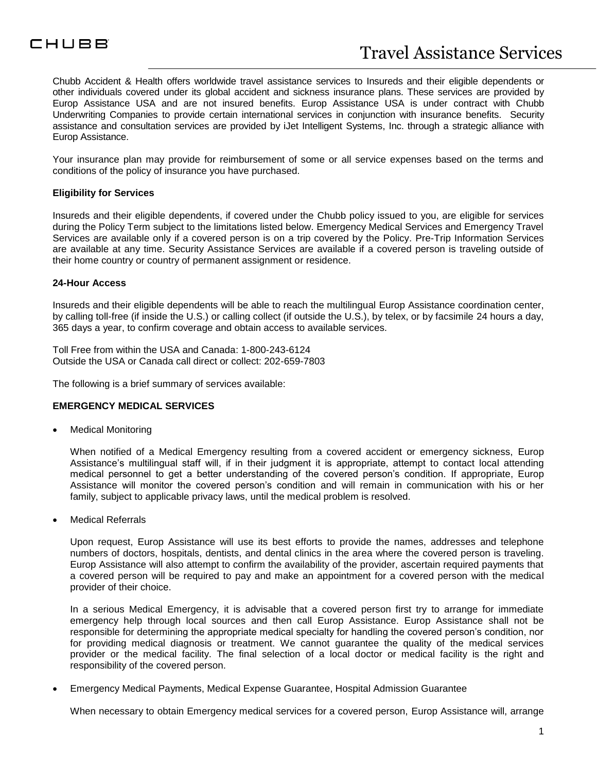

Chubb Accident & Health offers worldwide travel assistance services to Insureds and their eligible dependents or other individuals covered under its global accident and sickness insurance plans. These services are provided by Europ Assistance USA and are not insured benefits. Europ Assistance USA is under contract with Chubb Underwriting Companies to provide certain international services in conjunction with insurance benefits. Security assistance and consultation services are provided by iJet Intelligent Systems, Inc. through a strategic alliance with Europ Assistance.

Your insurance plan may provide for reimbursement of some or all service expenses based on the terms and conditions of the policy of insurance you have purchased.

#### **Eligibility for Services**

Insureds and their eligible dependents, if covered under the Chubb policy issued to you, are eligible for services during the Policy Term subject to the limitations listed below. Emergency Medical Services and Emergency Travel Services are available only if a covered person is on a trip covered by the Policy. Pre-Trip Information Services are available at any time. Security Assistance Services are available if a covered person is traveling outside of their home country or country of permanent assignment or residence.

#### **24-Hour Access**

Insureds and their eligible dependents will be able to reach the multilingual Europ Assistance coordination center, by calling toll-free (if inside the U.S.) or calling collect (if outside the U.S.), by telex, or by facsimile 24 hours a day, 365 days a year, to confirm coverage and obtain access to available services.

Toll Free from within the USA and Canada: 1-800-243-6124 Outside the USA or Canada call direct or collect: 202-659-7803

The following is a brief summary of services available:

#### **EMERGENCY MEDICAL SERVICES**

Medical Monitoring

When notified of a Medical Emergency resulting from a covered accident or emergency sickness, Europ Assistance's multilingual staff will, if in their judgment it is appropriate, attempt to contact local attending medical personnel to get a better understanding of the covered person's condition. If appropriate, Europ Assistance will monitor the covered person's condition and will remain in communication with his or her family, subject to applicable privacy laws, until the medical problem is resolved.

Medical Referrals

Upon request, Europ Assistance will use its best efforts to provide the names, addresses and telephone numbers of doctors, hospitals, dentists, and dental clinics in the area where the covered person is traveling. Europ Assistance will also attempt to confirm the availability of the provider, ascertain required payments that a covered person will be required to pay and make an appointment for a covered person with the medical provider of their choice.

In a serious Medical Emergency, it is advisable that a covered person first try to arrange for immediate emergency help through local sources and then call Europ Assistance. Europ Assistance shall not be responsible for determining the appropriate medical specialty for handling the covered person's condition, nor for providing medical diagnosis or treatment. We cannot guarantee the quality of the medical services provider or the medical facility. The final selection of a local doctor or medical facility is the right and responsibility of the covered person.

Emergency Medical Payments, Medical Expense Guarantee, Hospital Admission Guarantee

When necessary to obtain Emergency medical services for a covered person, Europ Assistance will, arrange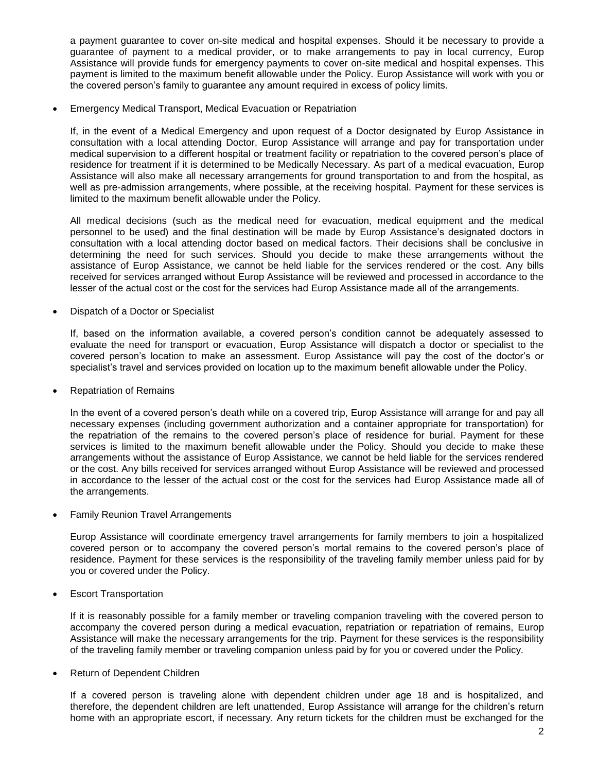a payment guarantee to cover on-site medical and hospital expenses. Should it be necessary to provide a guarantee of payment to a medical provider, or to make arrangements to pay in local currency, Europ Assistance will provide funds for emergency payments to cover on-site medical and hospital expenses. This payment is limited to the maximum benefit allowable under the Policy. Europ Assistance will work with you or the covered person's family to guarantee any amount required in excess of policy limits.

Emergency Medical Transport, Medical Evacuation or Repatriation

If, in the event of a Medical Emergency and upon request of a Doctor designated by Europ Assistance in consultation with a local attending Doctor, Europ Assistance will arrange and pay for transportation under medical supervision to a different hospital or treatment facility or repatriation to the covered person's place of residence for treatment if it is determined to be Medically Necessary. As part of a medical evacuation, Europ Assistance will also make all necessary arrangements for ground transportation to and from the hospital, as well as pre-admission arrangements, where possible, at the receiving hospital. Payment for these services is limited to the maximum benefit allowable under the Policy.

All medical decisions (such as the medical need for evacuation, medical equipment and the medical personnel to be used) and the final destination will be made by Europ Assistance's designated doctors in consultation with a local attending doctor based on medical factors. Their decisions shall be conclusive in determining the need for such services. Should you decide to make these arrangements without the assistance of Europ Assistance, we cannot be held liable for the services rendered or the cost. Any bills received for services arranged without Europ Assistance will be reviewed and processed in accordance to the lesser of the actual cost or the cost for the services had Europ Assistance made all of the arrangements.

Dispatch of a Doctor or Specialist

If, based on the information available, a covered person's condition cannot be adequately assessed to evaluate the need for transport or evacuation, Europ Assistance will dispatch a doctor or specialist to the covered person's location to make an assessment. Europ Assistance will pay the cost of the doctor's or specialist's travel and services provided on location up to the maximum benefit allowable under the Policy.

Repatriation of Remains

In the event of a covered person's death while on a covered trip, Europ Assistance will arrange for and pay all necessary expenses (including government authorization and a container appropriate for transportation) for the repatriation of the remains to the covered person's place of residence for burial. Payment for these services is limited to the maximum benefit allowable under the Policy. Should you decide to make these arrangements without the assistance of Europ Assistance, we cannot be held liable for the services rendered or the cost. Any bills received for services arranged without Europ Assistance will be reviewed and processed in accordance to the lesser of the actual cost or the cost for the services had Europ Assistance made all of the arrangements.

Family Reunion Travel Arrangements

Europ Assistance will coordinate emergency travel arrangements for family members to join a hospitalized covered person or to accompany the covered person's mortal remains to the covered person's place of residence. Payment for these services is the responsibility of the traveling family member unless paid for by you or covered under the Policy.

Escort Transportation

If it is reasonably possible for a family member or traveling companion traveling with the covered person to accompany the covered person during a medical evacuation, repatriation or repatriation of remains, Europ Assistance will make the necessary arrangements for the trip. Payment for these services is the responsibility of the traveling family member or traveling companion unless paid by for you or covered under the Policy.

Return of Dependent Children

If a covered person is traveling alone with dependent children under age 18 and is hospitalized, and therefore, the dependent children are left unattended, Europ Assistance will arrange for the children's return home with an appropriate escort, if necessary. Any return tickets for the children must be exchanged for the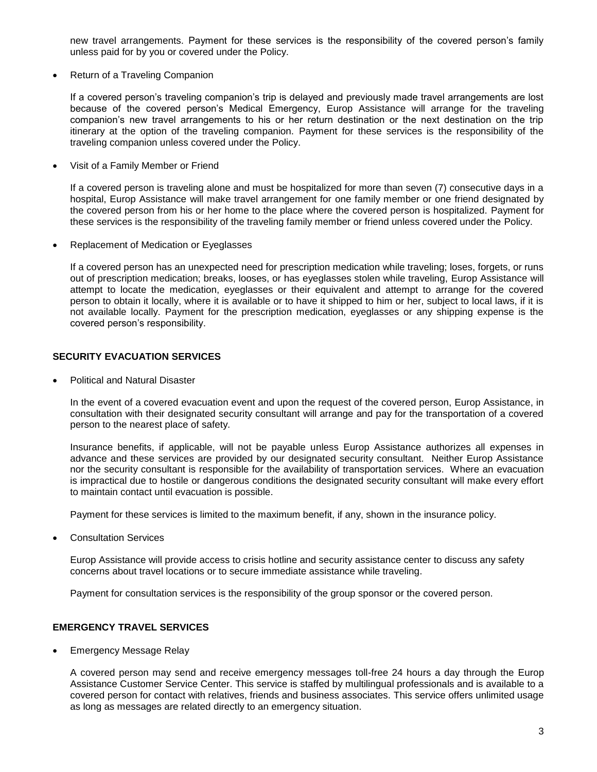new travel arrangements. Payment for these services is the responsibility of the covered person's family unless paid for by you or covered under the Policy.

Return of a Traveling Companion

If a covered person's traveling companion's trip is delayed and previously made travel arrangements are lost because of the covered person's Medical Emergency, Europ Assistance will arrange for the traveling companion's new travel arrangements to his or her return destination or the next destination on the trip itinerary at the option of the traveling companion. Payment for these services is the responsibility of the traveling companion unless covered under the Policy.

Visit of a Family Member or Friend

If a covered person is traveling alone and must be hospitalized for more than seven (7) consecutive days in a hospital, Europ Assistance will make travel arrangement for one family member or one friend designated by the covered person from his or her home to the place where the covered person is hospitalized. Payment for these services is the responsibility of the traveling family member or friend unless covered under the Policy.

Replacement of Medication or Eyeglasses

If a covered person has an unexpected need for prescription medication while traveling; loses, forgets, or runs out of prescription medication; breaks, looses, or has eyeglasses stolen while traveling, Europ Assistance will attempt to locate the medication, eyeglasses or their equivalent and attempt to arrange for the covered person to obtain it locally, where it is available or to have it shipped to him or her, subject to local laws, if it is not available locally. Payment for the prescription medication, eyeglasses or any shipping expense is the covered person's responsibility.

## **SECURITY EVACUATION SERVICES**

Political and Natural Disaster

In the event of a covered evacuation event and upon the request of the covered person, Europ Assistance, in consultation with their designated security consultant will arrange and pay for the transportation of a covered person to the nearest place of safety.

Insurance benefits, if applicable, will not be payable unless Europ Assistance authorizes all expenses in advance and these services are provided by our designated security consultant. Neither Europ Assistance nor the security consultant is responsible for the availability of transportation services. Where an evacuation is impractical due to hostile or dangerous conditions the designated security consultant will make every effort to maintain contact until evacuation is possible.

Payment for these services is limited to the maximum benefit, if any, shown in the insurance policy.

Consultation Services

Europ Assistance will provide access to crisis hotline and security assistance center to discuss any safety concerns about travel locations or to secure immediate assistance while traveling.

Payment for consultation services is the responsibility of the group sponsor or the covered person.

## **EMERGENCY TRAVEL SERVICES**

Emergency Message Relay

A covered person may send and receive emergency messages toll-free 24 hours a day through the Europ Assistance Customer Service Center. This service is staffed by multilingual professionals and is available to a covered person for contact with relatives, friends and business associates. This service offers unlimited usage as long as messages are related directly to an emergency situation.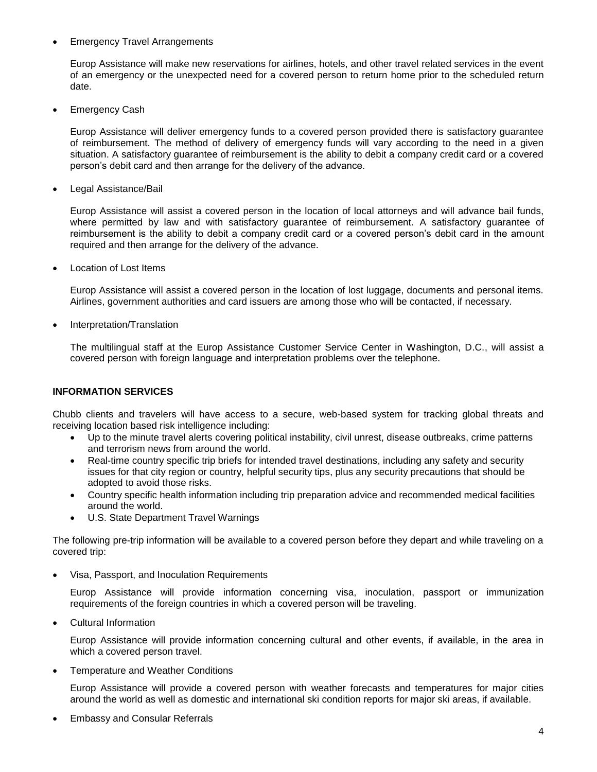#### Emergency Travel Arrangements

Europ Assistance will make new reservations for airlines, hotels, and other travel related services in the event of an emergency or the unexpected need for a covered person to return home prior to the scheduled return date.

Emergency Cash

Europ Assistance will deliver emergency funds to a covered person provided there is satisfactory guarantee of reimbursement. The method of delivery of emergency funds will vary according to the need in a given situation. A satisfactory guarantee of reimbursement is the ability to debit a company credit card or a covered person's debit card and then arrange for the delivery of the advance.

Legal Assistance/Bail

Europ Assistance will assist a covered person in the location of local attorneys and will advance bail funds, where permitted by law and with satisfactory guarantee of reimbursement. A satisfactory guarantee of reimbursement is the ability to debit a company credit card or a covered person's debit card in the amount required and then arrange for the delivery of the advance.

Location of Lost Items

Europ Assistance will assist a covered person in the location of lost luggage, documents and personal items. Airlines, government authorities and card issuers are among those who will be contacted, if necessary.

Interpretation/Translation

The multilingual staff at the Europ Assistance Customer Service Center in Washington, D.C., will assist a covered person with foreign language and interpretation problems over the telephone.

## **INFORMATION SERVICES**

Chubb clients and travelers will have access to a secure, web-based system for tracking global threats and receiving location based risk intelligence including:

- Up to the minute travel alerts covering political instability, civil unrest, disease outbreaks, crime patterns and terrorism news from around the world.
- Real-time country specific trip briefs for intended travel destinations, including any safety and security issues for that city region or country, helpful security tips, plus any security precautions that should be adopted to avoid those risks.
- Country specific health information including trip preparation advice and recommended medical facilities around the world.
- U.S. State Department Travel Warnings

The following pre-trip information will be available to a covered person before they depart and while traveling on a covered trip:

Visa, Passport, and Inoculation Requirements

Europ Assistance will provide information concerning visa, inoculation, passport or immunization requirements of the foreign countries in which a covered person will be traveling.

Cultural Information

Europ Assistance will provide information concerning cultural and other events, if available, in the area in which a covered person travel.

Temperature and Weather Conditions

Europ Assistance will provide a covered person with weather forecasts and temperatures for major cities around the world as well as domestic and international ski condition reports for major ski areas, if available.

Embassy and Consular Referrals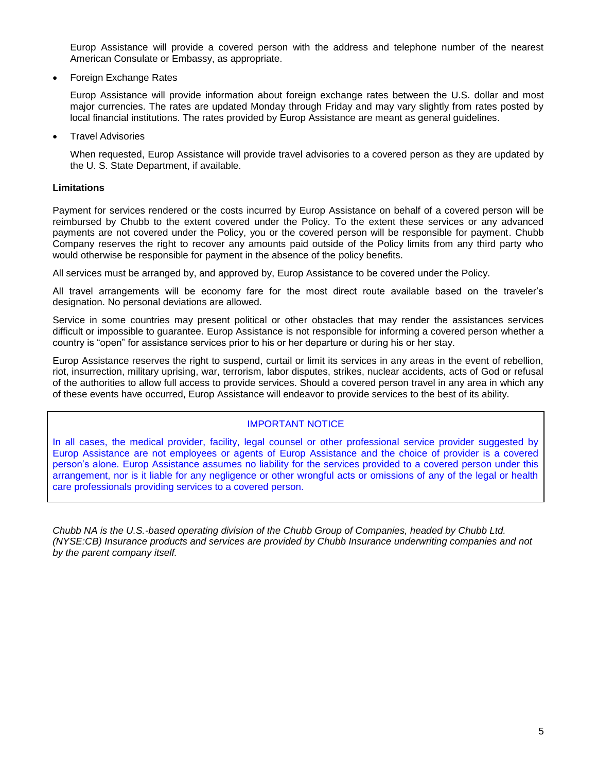Europ Assistance will provide a covered person with the address and telephone number of the nearest American Consulate or Embassy, as appropriate.

Foreign Exchange Rates

Europ Assistance will provide information about foreign exchange rates between the U.S. dollar and most major currencies. The rates are updated Monday through Friday and may vary slightly from rates posted by local financial institutions. The rates provided by Europ Assistance are meant as general guidelines.

Travel Advisories

When requested, Europ Assistance will provide travel advisories to a covered person as they are updated by the U. S. State Department, if available.

## **Limitations**

Payment for services rendered or the costs incurred by Europ Assistance on behalf of a covered person will be reimbursed by Chubb to the extent covered under the Policy. To the extent these services or any advanced payments are not covered under the Policy, you or the covered person will be responsible for payment. Chubb Company reserves the right to recover any amounts paid outside of the Policy limits from any third party who would otherwise be responsible for payment in the absence of the policy benefits.

All services must be arranged by, and approved by, Europ Assistance to be covered under the Policy.

All travel arrangements will be economy fare for the most direct route available based on the traveler's designation. No personal deviations are allowed.

Service in some countries may present political or other obstacles that may render the assistances services difficult or impossible to guarantee. Europ Assistance is not responsible for informing a covered person whether a country is "open" for assistance services prior to his or her departure or during his or her stay.

Europ Assistance reserves the right to suspend, curtail or limit its services in any areas in the event of rebellion, riot, insurrection, military uprising, war, terrorism, labor disputes, strikes, nuclear accidents, acts of God or refusal of the authorities to allow full access to provide services. Should a covered person travel in any area in which any of these events have occurred, Europ Assistance will endeavor to provide services to the best of its ability.

## IMPORTANT NOTICE

In all cases, the medical provider, facility, legal counsel or other professional service provider suggested by Europ Assistance are not employees or agents of Europ Assistance and the choice of provider is a covered person's alone. Europ Assistance assumes no liability for the services provided to a covered person under this arrangement, nor is it liable for any negligence or other wrongful acts or omissions of any of the legal or health care professionals providing services to a covered person.

*Chubb NA is the U.S.-based operating division of the Chubb Group of Companies, headed by Chubb Ltd. (NYSE:CB) Insurance products and services are provided by Chubb Insurance underwriting companies and not by the parent company itself.*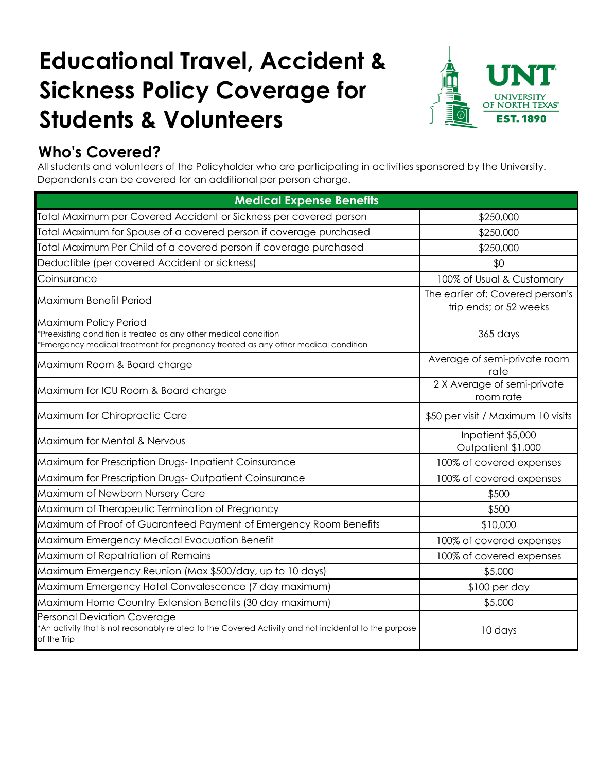# **Educational Travel, Accident & Sickness Policy Coverage for Students & Volunteers**



# **Who's Covered?**

All students and volunteers of the Policyholder who are participating in activities sponsored by the University. Dependents can be covered for an additional per person charge.

| <b>Medical Expense Benefits</b>                                                                                                                                                |                                                            |  |
|--------------------------------------------------------------------------------------------------------------------------------------------------------------------------------|------------------------------------------------------------|--|
| Total Maximum per Covered Accident or Sickness per covered person                                                                                                              | \$250,000                                                  |  |
| Total Maximum for Spouse of a covered person if coverage purchased                                                                                                             | \$250,000                                                  |  |
| Total Maximum Per Child of a covered person if coverage purchased                                                                                                              | \$250,000                                                  |  |
| Deductible (per covered Accident or sickness)                                                                                                                                  | \$0                                                        |  |
| Coinsurance                                                                                                                                                                    | 100% of Usual & Customary                                  |  |
| Maximum Benefit Period                                                                                                                                                         | The earlier of: Covered person's<br>trip ends; or 52 weeks |  |
| Maximum Policy Period<br>*Preexisting condition is treated as any other medical condition<br>*Emergency medical treatment for pregnancy treated as any other medical condition | 365 days                                                   |  |
| Maximum Room & Board charge                                                                                                                                                    | Average of semi-private room<br>rate                       |  |
| Maximum for ICU Room & Board charge                                                                                                                                            | 2 X Average of semi-private<br>room rate                   |  |
| Maximum for Chiropractic Care                                                                                                                                                  | \$50 per visit / Maximum 10 visits                         |  |
| Maximum for Mental & Nervous                                                                                                                                                   | Inpatient \$5,000<br>Outpatient \$1,000                    |  |
| Maximum for Prescription Drugs-Inpatient Coinsurance                                                                                                                           | 100% of covered expenses                                   |  |
| Maximum for Prescription Drugs-Outpatient Coinsurance                                                                                                                          | 100% of covered expenses                                   |  |
| Maximum of Newborn Nursery Care                                                                                                                                                | \$500                                                      |  |
| Maximum of Therapeutic Termination of Pregnancy                                                                                                                                | \$500                                                      |  |
| Maximum of Proof of Guaranteed Payment of Emergency Room Benefits                                                                                                              | \$10,000                                                   |  |
| Maximum Emergency Medical Evacuation Benefit                                                                                                                                   | 100% of covered expenses                                   |  |
| Maximum of Repatriation of Remains                                                                                                                                             | 100% of covered expenses                                   |  |
| Maximum Emergency Reunion (Max \$500/day, up to 10 days)                                                                                                                       | \$5,000                                                    |  |
| Maximum Emergency Hotel Convalescence (7 day maximum)                                                                                                                          | $$100$ per day                                             |  |
| Maximum Home Country Extension Benefits (30 day maximum)                                                                                                                       | \$5,000                                                    |  |
| Personal Deviation Coverage<br>*An activity that is not reasonably related to the Covered Activity and not incidental to the purpose<br>of the Trip                            | 10 days                                                    |  |